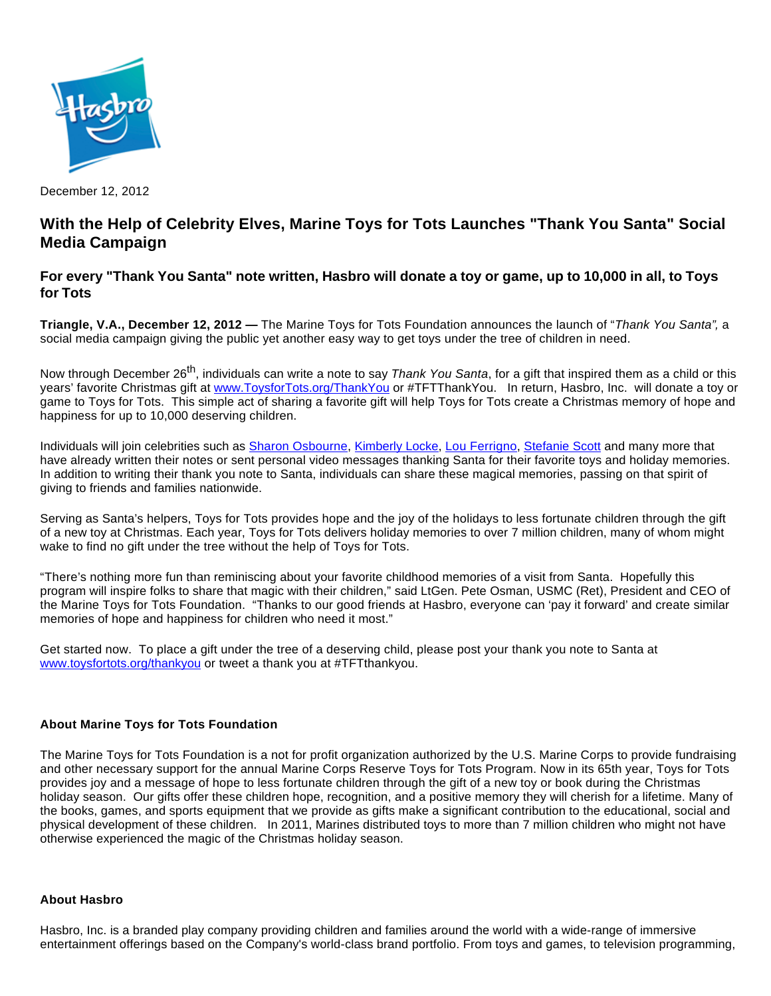

December 12, 2012

## **With the Help of Celebrity Elves, Marine Toys for Tots Launches "Thank You Santa" Social Media Campaign**

## **For every "Thank You Santa" note written, Hasbro will donate a toy or game, up to 10,000 in all, to Toys for Tots**

**Triangle, V.A., December 12, 2012 —** The Marine Toys for Tots Foundation announces the launch of "Thank You Santa", a social media campaign giving the public yet another easy way to get toys under the tree of children in need.

Now through December 26<sup>th</sup>, individuals can write a note to say Thank You Santa, for a gift that inspired them as a child or this years' favorite Christmas gift at [www.ToysforTots.org/ThankYou](http://www.toysfortots.org/ThankYou) or #TFTThankYou. In return, Hasbro, Inc. will donate a toy or game to Toys for Tots. This simple act of sharing a favorite gift will help Toys for Tots create a Christmas memory of hope and happiness for up to 10,000 deserving children.

Individuals will join celebrities such as [Sharon Osbourne](http://on.fb.me/VCJHDy), [Kimberly Locke](https://www.facebook.com/toysfortots/app_469249626459428?app_data=6304+vid%3Dt), [Lou Ferrigno,](http://on.fb.me/WT7j8j) [Stefanie Scott](https://www.facebook.com/toysfortots/app_469249626459428?ref=ts) and many more that have already written their notes or sent personal video messages thanking Santa for their favorite toys and holiday memories. In addition to writing their thank you note to Santa, individuals can share these magical memories, passing on that spirit of giving to friends and families nationwide.

Serving as Santa's helpers, Toys for Tots provides hope and the joy of the holidays to less fortunate children through the gift of a new toy at Christmas. Each year, Toys for Tots delivers holiday memories to over 7 million children, many of whom might wake to find no gift under the tree without the help of Toys for Tots.

"There's nothing more fun than reminiscing about your favorite childhood memories of a visit from Santa. Hopefully this program will inspire folks to share that magic with their children," said LtGen. Pete Osman, USMC (Ret), President and CEO of the Marine Toys for Tots Foundation. "Thanks to our good friends at Hasbro, everyone can 'pay it forward' and create similar memories of hope and happiness for children who need it most."

Get started now. To place a gift under the tree of a deserving child, please post your thank you note to Santa at [www.toysfortots.org/thankyou](http://www.toysfortots.org/thankyou) or tweet a thank you at #TFTthankyou.

## **About Marine Toys for Tots Foundation**

The Marine Toys for Tots Foundation is a not for profit organization authorized by the U.S. Marine Corps to provide fundraising and other necessary support for the annual Marine Corps Reserve Toys for Tots Program. Now in its 65th year, Toys for Tots provides joy and a message of hope to less fortunate children through the gift of a new toy or book during the Christmas holiday season. Our gifts offer these children hope, recognition, and a positive memory they will cherish for a lifetime. Many of the books, games, and sports equipment that we provide as gifts make a significant contribution to the educational, social and physical development of these children. In 2011, Marines distributed toys to more than 7 million children who might not have otherwise experienced the magic of the Christmas holiday season.

## **About Hasbro**

Hasbro, Inc. is a branded play company providing children and families around the world with a wide-range of immersive entertainment offerings based on the Company's world-class brand portfolio. From toys and games, to television programming,